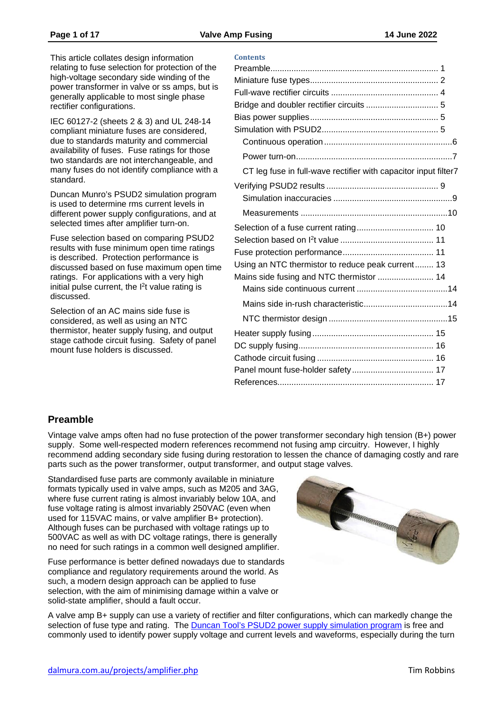This article collates design information relating to fuse selection for protection of the high-voltage secondary side winding of the power transformer in valve or ss amps, but is generally applicable to most single phase rectifier configurations.

IEC 60127-2 (sheets 2 & 3) and UL 248-14 compliant miniature fuses are considered, due to standards maturity and commercial availability of fuses. Fuse ratings for those two standards are not interchangeable, and many fuses do not identify compliance with a standard.

Duncan Munro's PSUD2 simulation program is used to determine rms current levels in different power supply configurations, and at selected times after amplifier turn-on.

Fuse selection based on comparing PSUD2 results with fuse minimum open time ratings is described. Protection performance is discussed based on fuse maximum open time ratings. For applications with a very high initial pulse current, the I 2t value rating is discussed.

Selection of an AC mains side fuse is considered, as well as using an NTC thermistor, heater supply fusing, and output stage cathode circuit fusing. Safety of panel mount fuse holders is discussed.

| <b>Contents</b>                                                 |  |
|-----------------------------------------------------------------|--|
|                                                                 |  |
|                                                                 |  |
|                                                                 |  |
|                                                                 |  |
|                                                                 |  |
|                                                                 |  |
|                                                                 |  |
|                                                                 |  |
| CT leg fuse in full-wave rectifier with capacitor input filter7 |  |
|                                                                 |  |
|                                                                 |  |
|                                                                 |  |
|                                                                 |  |
|                                                                 |  |
|                                                                 |  |
| Using an NTC thermistor to reduce peak current 13               |  |
| Mains side fusing and NTC thermistor  14                        |  |
|                                                                 |  |
|                                                                 |  |
|                                                                 |  |
|                                                                 |  |
|                                                                 |  |
|                                                                 |  |
|                                                                 |  |
|                                                                 |  |
|                                                                 |  |

# <span id="page-0-0"></span>**Preamble**

Vintage valve amps often had no fuse protection of the power transformer secondary high tension (B+) power supply. Some well-respected modern references recommend not fusing amp circuitry. However, I highly recommend adding secondary side fusing during restoration to lessen the chance of damaging costly and rare parts such as the power transformer, output transformer, and output stage valves.

Standardised fuse parts are commonly available in miniature formats typically used in valve amps, such as M205 and 3AG, where fuse current rating is almost invariably below 10A, and fuse voltage rating is almost invariably 250VAC (even when used for 115VAC mains, or valve amplifier B+ protection). Although fuses can be purchased with voltage ratings up to 500VAC as well as with DC voltage ratings, there is generally no need for such ratings in a common well designed amplifier.

Fuse performance is better defined nowadays due to standards compliance and regulatory requirements around the world. As such, a modern design approach can be applied to fuse selection, with the aim of minimising damage within a valve or solid-state amplifier, should a fault occur.



A valve amp B+ supply can use a variety of rectifier and filter configurations, which can markedly change the selection of fuse type and rating. The Duncan Tool's PSUD2 [power supply simulation program](http://www.duncanamps.com/psud2/) is free and commonly used to identify power supply voltage and current levels and waveforms, especially during the turn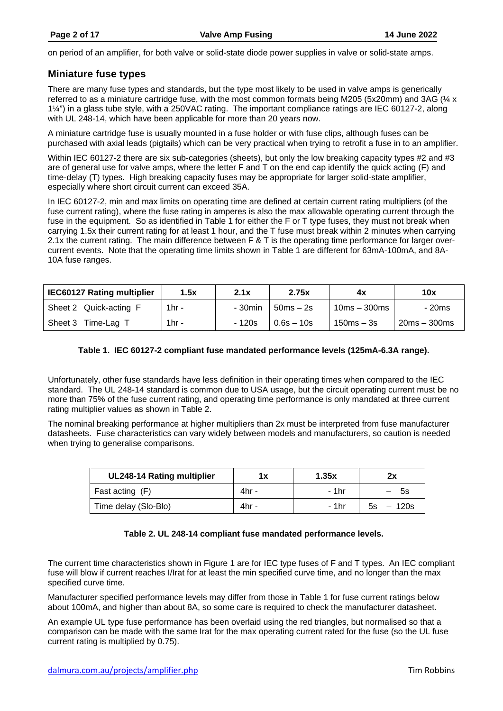on period of an amplifier, for both valve or solid-state diode power supplies in valve or solid-state amps.

# <span id="page-1-0"></span>**Miniature fuse types**

There are many fuse types and standards, but the type most likely to be used in valve amps is generically referred to as a miniature cartridge fuse, with the most common formats being M205 (5x20mm) and 3AG (¼ x 1¼") in a glass tube style, with a 250VAC rating. The important compliance ratings are IEC 60127-2, along with UL 248-14, which have been applicable for more than 20 years now.

A miniature cartridge fuse is usually mounted in a fuse holder or with fuse clips, although fuses can be purchased with axial leads (pigtails) which can be very practical when trying to retrofit a fuse in to an amplifier.

Within IEC 60127-2 there are six sub-categories (sheets), but only the low breaking capacity types #2 and #3 are of general use for valve amps, where the letter F and T on the end cap identify the quick acting (F) and time-delay (T) types. High breaking capacity fuses may be appropriate for larger solid-state amplifier, especially where short circuit current can exceed 35A.

In IEC 60127-2, min and max limits on operating time are defined at certain current rating multipliers (of the fuse current rating), where the fuse rating in amperes is also the max allowable operating current through the fuse in the equipment. So as identified in [Table 1](#page-1-1) for either the F or T type fuses, they must not break when carrying 1.5x their current rating for at least 1 hour, and the T fuse must break within 2 minutes when carrying 2.1x the current rating. The main difference between F & T is the operating time performance for larger overcurrent events. Note that the operating time limits shown in [Table 1](#page-1-1) are different for 63mA-100mA, and 8A-10A fuse ranges.

| <b>IEC60127 Rating multiplier</b> | 1.5x     | 2.1x    | 2.75x        | 4х             | 10x            |
|-----------------------------------|----------|---------|--------------|----------------|----------------|
| Sheet 2 Quick-acting F            | 1 $hr -$ | - 30min | $50ms - 2s$  | $10ms - 300ms$ | - 20ms         |
| Time-Lag<br>Sheet 3               | 1 $hr -$ | - 120s  | $0.6s - 10s$ | $150ms - 3s$   | $20ms - 300ms$ |

### **Table 1. IEC 60127-2 compliant fuse mandated performance levels (125mA-6.3A range).**

<span id="page-1-1"></span>Unfortunately, other fuse standards have less definition in their operating times when compared to the IEC standard. The UL 248-14 standard is common due to USA usage, but the circuit operating current must be no more than 75% of the fuse current rating, and operating time performance is only mandated at three current rating multiplier values as shown in [Table 2.](#page-1-2)

The nominal breaking performance at higher multipliers than 2x must be interpreted from fuse manufacturer datasheets. Fuse characteristics can vary widely between models and manufacturers, so caution is needed when trying to generalise comparisons.

| <b>UL248-14 Rating multiplier</b> | 1x    | 1.35x | 2x          |
|-----------------------------------|-------|-------|-------------|
| Fast acting (F)                   | 4hr - | - 1hr | -5s         |
| Time delay (Slo-Blo)              | 4hr - | - 1hr | $5s - 120s$ |

### **Table 2. UL 248-14 compliant fuse mandated performance levels.**

<span id="page-1-2"></span>The current time characteristics shown in [Figure 1](#page-2-0) are for IEC type fuses of F and T types. An IEC compliant fuse will blow if current reaches I/Irat for at least the min specified curve time, and no longer than the max specified curve time.

Manufacturer specified performance levels may differ from those in [Table 1](#page-1-1) for fuse current ratings below about 100mA, and higher than about 8A, so some care is required to check the manufacturer datasheet.

An example UL type fuse performance has been overlaid using the red triangles, but normalised so that a comparison can be made with the same Irat for the max operating current rated for the fuse (so the UL fuse current rating is multiplied by 0.75).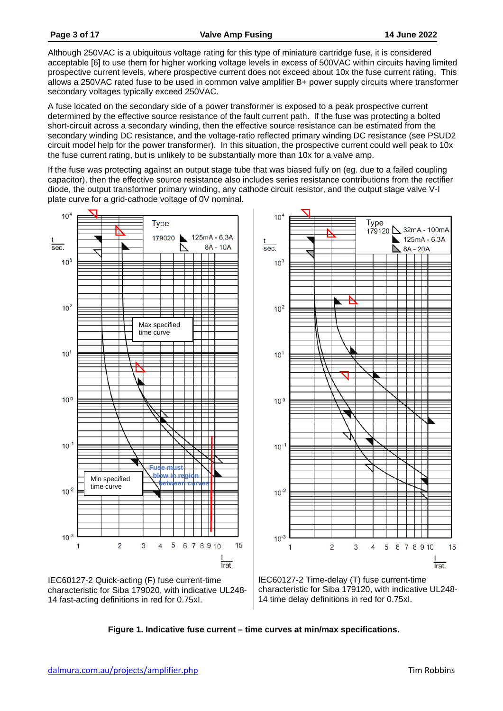Although 250VAC is a ubiquitous voltage rating for this type of miniature cartridge fuse, it is considered acceptable [\[6\]](#page-16-2) to use them for higher working voltage levels in excess of 500VAC within circuits having limited prospective current levels, where prospective current does not exceed about 10x the fuse current rating. This allows a 250VAC rated fuse to be used in common valve amplifier B+ power supply circuits where transformer secondary voltages typically exceed 250VAC.

A fuse located on the secondary side of a power transformer is exposed to a peak prospective current determined by the effective source resistance of the fault current path. If the fuse was protecting a bolted short-circuit across a secondary winding, then the effective source resistance can be estimated from the secondary winding DC resistance, and the voltage-ratio reflected primary winding DC resistance (see PSUD2 circuit model help for the power transformer). In this situation, the prospective current could well peak to 10x the fuse current rating, but is unlikely to be substantially more than 10x for a valve amp.

If the fuse was protecting against an output stage tube that was biased fully on (eg. due to a failed coupling capacitor), then the effective source resistance also includes series resistance contributions from the rectifier diode, the output transformer primary winding, any cathode circuit resistor, and the output stage valve V-I plate curve for a grid-cathode voltage of 0V nominal.



<span id="page-2-0"></span>

characteristic for Siba 179120, with indicative UL248- 14 time delay definitions in red for 0.75xI.

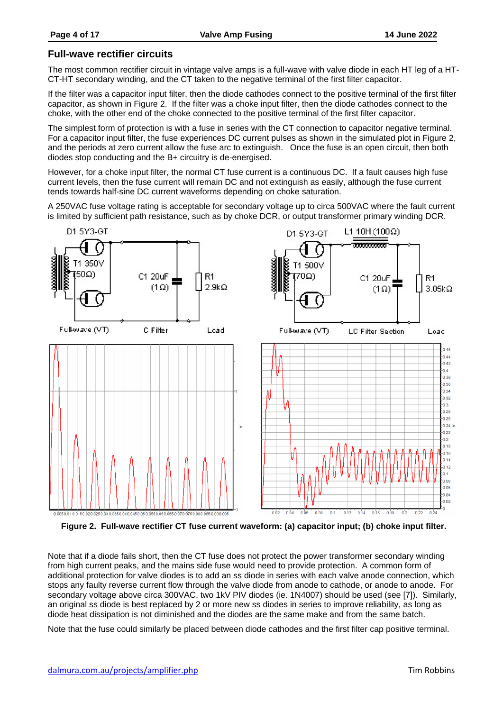# <span id="page-3-0"></span>**Full-wave rectifier circuits**

The most common rectifier circuit in vintage valve amps is a full-wave with valve diode in each HT leg of a HT-CT-HT secondary winding, and the CT taken to the negative terminal of the first filter capacitor.

If the filter was a capacitor input filter, then the diode cathodes connect to the positive terminal of the first filter capacitor, as shown in [Figure 2.](#page-3-1) If the filter was a choke input filter, then the diode cathodes connect to the choke, with the other end of the choke connected to the positive terminal of the first filter capacitor.

The simplest form of protection is with a fuse in series with the CT connection to capacitor negative terminal. For a capacitor input filter, the fuse experiences DC current pulses as shown in the simulated plot in [Figure 2,](#page-3-1) and the periods at zero current allow the fuse arc to extinguish. Once the fuse is an open circuit, then both diodes stop conducting and the B+ circuitry is de-energised.

However, for a choke input filter, the normal CT fuse current is a continuous DC. If a fault causes high fuse current levels, then the fuse current will remain DC and not extinguish as easily, although the fuse current tends towards half-sine DC current waveforms depending on choke saturation.

A 250VAC fuse voltage rating is acceptable for secondary voltage up to circa 500VAC where the fault current is limited by sufficient path resistance, such as by choke DCR, or output transformer primary winding DCR.



<span id="page-3-1"></span>**Figure 2. Full-wave rectifier CT fuse current waveform: (a) capacitor input; (b) choke input filter.**

Note that if a diode fails short, then the CT fuse does not protect the power transformer secondary winding from high current peaks, and the mains side fuse would need to provide protection. A common form of additional protection for valve diodes is to add an ss diode in series with each valve anode connection, which stops any faulty reverse current flow through the valve diode from anode to cathode, or anode to anode. For secondary voltage above circa 300VAC, two 1kV PIV diodes (ie. 1N4007) should be used (see [\[7\]\)](#page-16-3). Similarly, an original ss diode is best replaced by 2 or more new ss diodes in series to improve reliability, as long as diode heat dissipation is not diminished and the diodes are the same make and from the same batch.

Note that the fuse could similarly be placed between diode cathodes and the first filter cap positive terminal.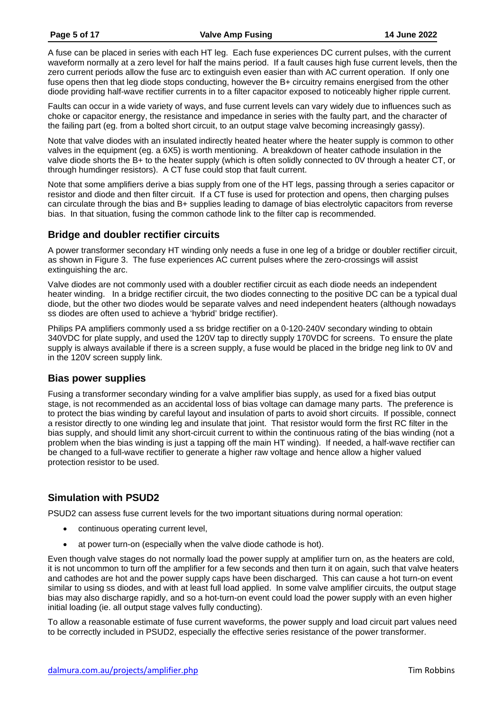A fuse can be placed in series with each HT leg. Each fuse experiences DC current pulses, with the current waveform normally at a zero level for half the mains period. If a fault causes high fuse current levels, then the zero current periods allow the fuse arc to extinguish even easier than with AC current operation. If only one fuse opens then that leg diode stops conducting, however the B+ circuitry remains energised from the other diode providing half-wave rectifier currents in to a filter capacitor exposed to noticeably higher ripple current.

Faults can occur in a wide variety of ways, and fuse current levels can vary widely due to influences such as choke or capacitor energy, the resistance and impedance in series with the faulty part, and the character of the failing part (eg. from a bolted short circuit, to an output stage valve becoming increasingly gassy).

Note that valve diodes with an insulated indirectly heated heater where the heater supply is common to other valves in the equipment (eg. a 6X5) is worth mentioning. A breakdown of heater cathode insulation in the valve diode shorts the B+ to the heater supply (which is often solidly connected to 0V through a heater CT, or through humdinger resistors). A CT fuse could stop that fault current.

Note that some amplifiers derive a bias supply from one of the HT legs, passing through a series capacitor or resistor and diode and then filter circuit. If a CT fuse is used for protection and opens, then charging pulses can circulate through the bias and B+ supplies leading to damage of bias electrolytic capacitors from reverse bias. In that situation, fusing the common cathode link to the filter cap is recommended.

# <span id="page-4-0"></span>**Bridge and doubler rectifier circuits**

A power transformer secondary HT winding only needs a fuse in one leg of a bridge or doubler rectifier circuit, as shown in [Figure 3.](#page-5-1) The fuse experiences AC current pulses where the zero-crossings will assist extinguishing the arc.

Valve diodes are not commonly used with a doubler rectifier circuit as each diode needs an independent heater winding. In a bridge rectifier circuit, the two diodes connecting to the positive DC can be a typical dual diode, but the other two diodes would be separate valves and need independent heaters (although nowadays ss diodes are often used to achieve a 'hybrid' bridge rectifier).

Philips PA amplifiers commonly used a ss bridge rectifier on a 0-120-240V secondary winding to obtain 340VDC for plate supply, and used the 120V tap to directly supply 170VDC for screens. To ensure the plate supply is always available if there is a screen supply, a fuse would be placed in the bridge neg link to 0V and in the 120V screen supply link.

# <span id="page-4-1"></span>**Bias power supplies**

Fusing a transformer secondary winding for a valve amplifier bias supply, as used for a fixed bias output stage, is not recommended as an accidental loss of bias voltage can damage many parts. The preference is to protect the bias winding by careful layout and insulation of parts to avoid short circuits. If possible, connect a resistor directly to one winding leg and insulate that joint. That resistor would form the first RC filter in the bias supply, and should limit any short-circuit current to within the continuous rating of the bias winding (not a problem when the bias winding is just a tapping off the main HT winding). If needed, a half-wave rectifier can be changed to a full-wave rectifier to generate a higher raw voltage and hence allow a higher valued protection resistor to be used.

# <span id="page-4-2"></span>**Simulation with PSUD2**

PSUD2 can assess fuse current levels for the two important situations during normal operation:

- continuous operating current level,
- at power turn-on (especially when the valve diode cathode is hot).

Even though valve stages do not normally load the power supply at amplifier turn on, as the heaters are cold, it is not uncommon to turn off the amplifier for a few seconds and then turn it on again, such that valve heaters and cathodes are hot and the power supply caps have been discharged. This can cause a hot turn-on event similar to using ss diodes, and with at least full load applied. In some valve amplifier circuits, the output stage bias may also discharge rapidly, and so a hot-turn-on event could load the power supply with an even higher initial loading (ie. all output stage valves fully conducting).

To allow a reasonable estimate of fuse current waveforms, the power supply and load circuit part values need to be correctly included in PSUD2, especially the effective series resistance of the power transformer.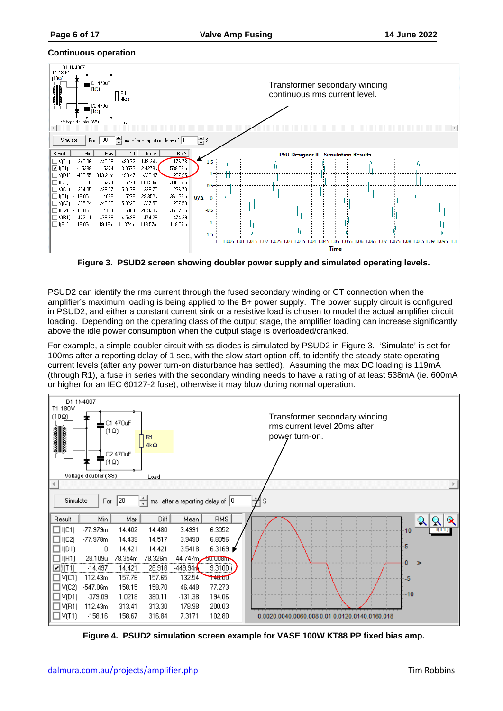#### <span id="page-5-0"></span>**Continuous operation**



**Figure 3. PSUD2 screen showing doubler power supply and simulated operating levels.**

<span id="page-5-1"></span>PSUD2 can identify the rms current through the fused secondary winding or CT connection when the amplifier's maximum loading is being applied to the B+ power supply. The power supply circuit is configured in PSUD2, and either a constant current sink or a resistive load is chosen to model the actual amplifier circuit loading. Depending on the operating class of the output stage, the amplifier loading can increase significantly above the idle power consumption when the output stage is overloaded/cranked.

For example, a simple doubler circuit with ss diodes is simulated by PSUD2 in [Figure 3.](#page-5-1) 'Simulate' is set for 100ms after a reporting delay of 1 sec, with the slow start option off, to identify the steady-state operating current levels (after any power turn-on disturbance has settled). Assuming the max DC loading is 119mA (through R1), a fuse in series with the secondary winding needs to have a rating of at least 538mA (ie. 600mA or higher for an IEC 60127-2 fuse), otherwise it may blow during normal operation.



<span id="page-5-2"></span>**Figure 4. PSUD2 simulation screen example for VASE 100W KT88 PP fixed bias amp.**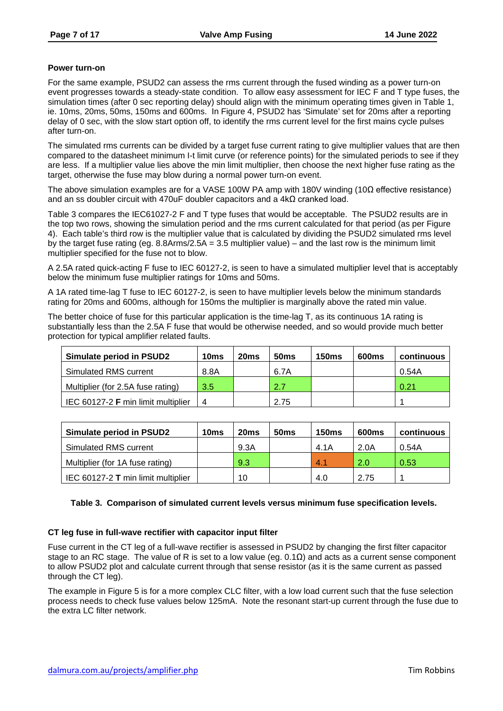### <span id="page-6-0"></span>**Power turn-on**

For the same example, PSUD2 can assess the rms current through the fused winding as a power turn-on event progresses towards a steady-state condition. To allow easy assessment for IEC F and T type fuses, the simulation times (after 0 sec reporting delay) should align with the minimum operating times given in [Table 1,](#page-1-1) ie. 10ms, 20ms, 50ms, 150ms and 600ms. In [Figure 4,](#page-5-2) PSUD2 has 'Simulate' set for 20ms after a reporting delay of 0 sec, with the slow start option off, to identify the rms current level for the first mains cycle pulses after turn-on.

The simulated rms currents can be divided by a target fuse current rating to give multiplier values that are then compared to the datasheet minimum I-t limit curve (or reference points) for the simulated periods to see if they are less. If a multiplier value lies above the min limit multiplier, then choose the next higher fuse rating as the target, otherwise the fuse may blow during a normal power turn-on event.

The above simulation examples are for a VASE 100W PA amp with 180V winding (10Ω effective resistance) and an ss doubler circuit with 470uF doubler capacitors and a 4kΩ cranked load.

[Table 3](#page-6-2) compares the IEC61027-2 F and T type fuses that would be acceptable. The PSUD2 results are in the top two rows, showing the simulation period and the rms current calculated for that period (as per [Figure](#page-5-2)  [4\)](#page-5-2). Each table's third row is the multiplier value that is calculated by dividing the PSUD2 simulated rms level by the target fuse rating (eg. 8.8Arms/2.5A = 3.5 multiplier value) – and the last row is the minimum limit multiplier specified for the fuse not to blow.

A 2.5A rated quick-acting F fuse to IEC 60127-2, is seen to have a simulated multiplier level that is acceptably below the minimum fuse multiplier ratings for 10ms and 50ms.

A 1A rated time-lag T fuse to IEC 60127-2, is seen to have multiplier levels below the minimum standards rating for 20ms and 600ms, although for 150ms the multiplier is marginally above the rated min value.

The better choice of fuse for this particular application is the time-lag T, as its continuous 1A rating is substantially less than the 2.5A F fuse that would be otherwise needed, and so would provide much better protection for typical amplifier related faults.

| <b>Simulate period in PSUD2</b>    | 10ms | 20 <sub>ms</sub> | 50 <sub>ms</sub> | <b>150ms</b> | 600ms | continuous |
|------------------------------------|------|------------------|------------------|--------------|-------|------------|
| Simulated RMS current              | 8.8A |                  | 6.7A             |              |       | 0.54A      |
| Multiplier (for 2.5A fuse rating)  | 3.5  |                  | 2.7              |              |       | 0.21       |
| IEC 60127-2 F min limit multiplier | 4    |                  | 2.75             |              |       |            |

| <b>Simulate period in PSUD2</b>    | 10 <sub>ms</sub> | 20 <sub>ms</sub> | <b>50ms</b> | <b>150ms</b> | 600ms | continuous |
|------------------------------------|------------------|------------------|-------------|--------------|-------|------------|
| Simulated RMS current              |                  | 9.3A             |             | 4.1A         | 2.0A  | 0.54A      |
| Multiplier (for 1A fuse rating)    |                  | 9.3              |             | 4.1          | 2.0   | 0.53       |
| IEC 60127-2 T min limit multiplier |                  | 10               |             | 4.0          | 2.75  |            |

### <span id="page-6-2"></span>**Table 3. Comparison of simulated current levels versus minimum fuse specification levels.**

### <span id="page-6-1"></span>**CT leg fuse in full-wave rectifier with capacitor input filter**

Fuse current in the CT leg of a full-wave rectifier is assessed in PSUD2 by changing the first filter capacitor stage to an RC stage. The value of R is set to a low value (eg.  $0.1\Omega$ ) and acts as a current sense component to allow PSUD2 plot and calculate current through that sense resistor (as it is the same current as passed through the CT leg).

The example in [Figure 5](#page-7-0) is for a more complex CLC filter, with a low load current such that the fuse selection process needs to check fuse values below 125mA. Note the resonant start-up current through the fuse due to the extra LC filter network.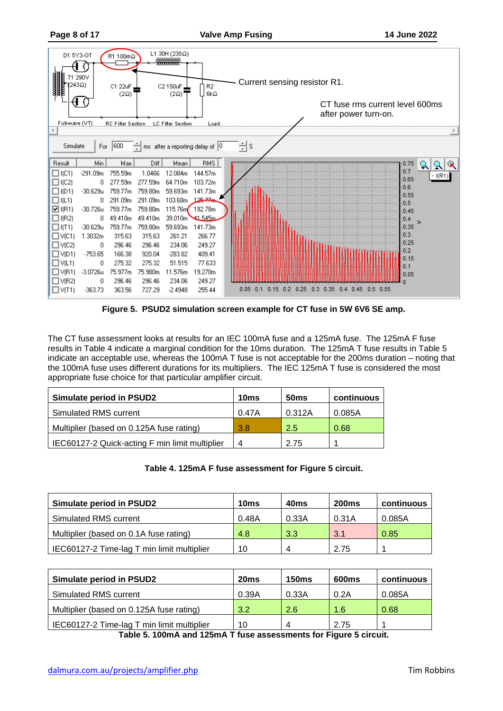| andonesia<br><b>Elizabeth</b><br>Elizabeth<br>1243Ω)<br>ч<br>Full-wave (VT) | D1 5Y3-GT<br>T1 290V | R1 100mΩ<br>C1 22uF<br>$(2\Omega)$<br><b>RC Filter Section</b> |         | L1 30H (235Ω)<br>00000000000<br>C2 150uF.<br>$(2\Omega)$<br><b>LC Filter Section</b> | R <sub>2</sub><br>$6k\Omega$<br>Load | Current sensing resistor R1.<br>CT fuse rms current level 600ms<br>after power turn-on. |
|-----------------------------------------------------------------------------|----------------------|----------------------------------------------------------------|---------|--------------------------------------------------------------------------------------|--------------------------------------|-----------------------------------------------------------------------------------------|
|                                                                             |                      |                                                                |         |                                                                                      |                                      |                                                                                         |
| Simulate                                                                    | For                  | 1600                                                           |         |                                                                                      | ms after a reporting delay of $ 0 $  | 늮s                                                                                      |
| Result                                                                      | Min                  | Max                                                            | Diff    | Mean                                                                                 | RMS                                  | 0.75<br>$\propto$                                                                       |
| $\Box$ I(C1)                                                                | $-291.09m$           | 755.59m                                                        | 1.0466  | 12.084m                                                                              | 144.57m                              | 0.7<br>I(R1)                                                                            |
| $\Box$ I(C2)                                                                | 0                    | 277.59m                                                        | 277.59m | 64.710m                                                                              | 103.72m                              | 0.65                                                                                    |
| $\Box$ I(D1)                                                                | $-30.629u$           | 759.77m                                                        | 759.80m | 59.693m                                                                              | 141.73m                              | $-0.6$<br>0.55                                                                          |
| $\square$ (L1)                                                              |                      | 291.09m                                                        | 291.09m | 103.68m                                                                              | 125.77                               | 0.5                                                                                     |
| $\boxtimes$ I(R1)                                                           | $-30.726u$           | 759.77m                                                        | 759.80m | 115.76m                                                                              | 192.78m                              | 0.45                                                                                    |
| $\Box$ I(R2)                                                                | 0                    | 49.410m                                                        | 49.410m | 39.010m                                                                              | 41.545m                              | 0.4<br>⋗                                                                                |
| $\Box$ (T1)                                                                 | $-30.629u$           | 759.77m                                                        | 759.80m | 59.693m                                                                              | 141.73m                              | 0.35                                                                                    |
| $\square$ V(C1)                                                             | 1.3032m              | 315.63                                                         | 315.63  | 261.21                                                                               | 266.77                               | 0.3                                                                                     |
| $\Box$ V(C2)                                                                | 0                    | 296.46                                                         | 296.46  | 234.06                                                                               | 249.27                               | 0.25                                                                                    |
| $\Box$ V(D1)                                                                | $-753.65$            | 166.38                                                         | 920.04  | $-283.82$                                                                            | 409.41                               | 0.2<br>0.15                                                                             |
| $\Box$ V(L1)                                                                | 0                    | 275.32                                                         | 275.32  | 51.515                                                                               | 77.633                               | $-0.1$                                                                                  |
| $\Box$ V(R1)                                                                | $-3.0726u$           | 75.977m                                                        | 75.980m | 11.576m                                                                              | 19.278m                              | 0.05                                                                                    |
| $\Box$ V(R2)                                                                | n                    | 296.46                                                         | 296.46  | 234.06                                                                               | 249.27                               |                                                                                         |
| $\square$ V(T1)                                                             | $-363.73$            | 363.56                                                         | 727.29  | $-2.4948$                                                                            | 255.44                               | 0.25<br>$0.15$ 0.2<br>$0.3$ $0.35$<br>0.45<br>$0.05$ $0.1$<br>0.4<br>0.5<br>0.55        |

**Figure 5. PSUD2 simulation screen example for CT fuse in 5W 6V6 SE amp.**

<span id="page-7-0"></span>The CT fuse assessment looks at results for an IEC 100mA fuse and a 125mA fuse. The 125mA F fuse results in [Table 4](#page-7-1) indicate a marginal condition for the 10ms duration. The 125mA T fuse results in [Table 5](#page-7-2) indicate an acceptable use, whereas the 100mA T fuse is not acceptable for the 200ms duration – noting that the 100mA fuse uses different durations for its multipliers. The IEC 125mA T fuse is considered the most appropriate fuse choice for that particular amplifier circuit.

| <b>Simulate period in PSUD2</b>                | 10ms  | 50 <sub>ms</sub> | continuous |
|------------------------------------------------|-------|------------------|------------|
| Simulated RMS current                          | 0.47A | 0.312A           | 0.085A     |
| Multiplier (based on 0.125A fuse rating)       | 3.8   | 2.5              | 0.68       |
| IEC60127-2 Quick-acting F min limit multiplier | 4     | 2.75             |            |

### **Table 4. 125mA F fuse assessment for [Figure 5](#page-7-0) circuit.**

<span id="page-7-1"></span>

| <b>Simulate period in PSUD2</b>            | 10ms  | 40 <sub>ms</sub>          | <b>200ms</b> | continuous |
|--------------------------------------------|-------|---------------------------|--------------|------------|
| Simulated RMS current                      | 0.48A | 0.33A                     | 0.31A        | 0.085A     |
| Multiplier (based on 0.1A fuse rating)     | 4.8   | 3.3                       | 3.1          | 0.85       |
| IEC60127-2 Time-lag T min limit multiplier | 10    | $\boldsymbol{\varLambda}$ | 2.75         |            |

<span id="page-7-2"></span>

| <b>Simulate period in PSUD2</b>            | 20 <sub>ms</sub> | <b>150ms</b> | 600 <sub>ms</sub> | continuous |
|--------------------------------------------|------------------|--------------|-------------------|------------|
| Simulated RMS current                      | 0.39A            | 0.33A        | 0.2A              | 0.085A     |
| Multiplier (based on 0.125A fuse rating)   | 3.2              | 2.6          | 1.6               | 0.68       |
| IEC60127-2 Time-lag T min limit multiplier | 10               | 4            | 2.75              |            |

**Table 5. 100mA and 125mA T fuse assessments for [Figure 5](#page-7-0) circuit.**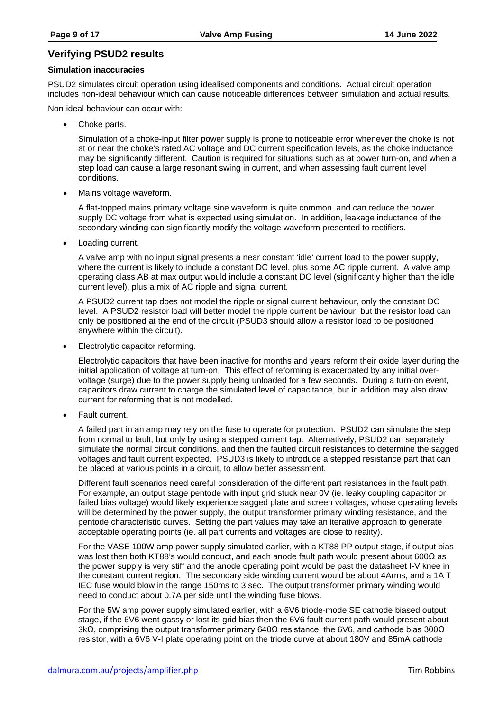# <span id="page-8-0"></span>**Verifying PSUD2 results**

#### <span id="page-8-1"></span>**Simulation inaccuracies**

PSUD2 simulates circuit operation using idealised components and conditions. Actual circuit operation includes non-ideal behaviour which can cause noticeable differences between simulation and actual results.

Non-ideal behaviour can occur with:

Choke parts.

Simulation of a choke-input filter power supply is prone to noticeable error whenever the choke is not at or near the choke's rated AC voltage and DC current specification levels, as the choke inductance may be significantly different. Caution is required for situations such as at power turn-on, and when a step load can cause a large resonant swing in current, and when assessing fault current level conditions.

• Mains voltage waveform.

A flat-topped mains primary voltage sine waveform is quite common, and can reduce the power supply DC voltage from what is expected using simulation. In addition, leakage inductance of the secondary winding can significantly modify the voltage waveform presented to rectifiers.

• Loading current.

A valve amp with no input signal presents a near constant 'idle' current load to the power supply, where the current is likely to include a constant DC level, plus some AC ripple current. A valve amp operating class AB at max output would include a constant DC level (significantly higher than the idle current level), plus a mix of AC ripple and signal current.

A PSUD2 current tap does not model the ripple or signal current behaviour, only the constant DC level. A PSUD2 resistor load will better model the ripple current behaviour, but the resistor load can only be positioned at the end of the circuit (PSUD3 should allow a resistor load to be positioned anywhere within the circuit).

• Electrolytic capacitor reforming.

Electrolytic capacitors that have been inactive for months and years reform their oxide layer during the initial application of voltage at turn-on. This effect of reforming is exacerbated by any initial overvoltage (surge) due to the power supply being unloaded for a few seconds. During a turn-on event, capacitors draw current to charge the simulated level of capacitance, but in addition may also draw current for reforming that is not modelled.

• Fault current.

A failed part in an amp may rely on the fuse to operate for protection. PSUD2 can simulate the step from normal to fault, but only by using a stepped current tap. Alternatively, PSUD2 can separately simulate the normal circuit conditions, and then the faulted circuit resistances to determine the sagged voltages and fault current expected. PSUD3 is likely to introduce a stepped resistance part that can be placed at various points in a circuit, to allow better assessment.

Different fault scenarios need careful consideration of the different part resistances in the fault path. For example, an output stage pentode with input grid stuck near 0V (ie. leaky coupling capacitor or failed bias voltage) would likely experience sagged plate and screen voltages, whose operating levels will be determined by the power supply, the output transformer primary winding resistance, and the pentode characteristic curves. Setting the part values may take an iterative approach to generate acceptable operating points (ie. all part currents and voltages are close to reality).

For the VASE 100W amp power supply simulated earlier, with a KT88 PP output stage, if output bias was lost then both KT88's would conduct, and each anode fault path would present about 600Ω as the power supply is very stiff and the anode operating point would be past the datasheet I-V knee in the constant current region. The secondary side winding current would be about 4Arms, and a 1A T IEC fuse would blow in the range 150ms to 3 sec. The output transformer primary winding would need to conduct about 0.7A per side until the winding fuse blows.

For the 5W amp power supply simulated earlier, with a 6V6 triode-mode SE cathode biased output stage, if the 6V6 went gassy or lost its grid bias then the 6V6 fault current path would present about 3kΩ, comprising the output transformer primary 640Ω resistance, the 6V6, and cathode bias 300Ω resistor, with a 6V6 V-I plate operating point on the triode curve at about 180V and 85mA cathode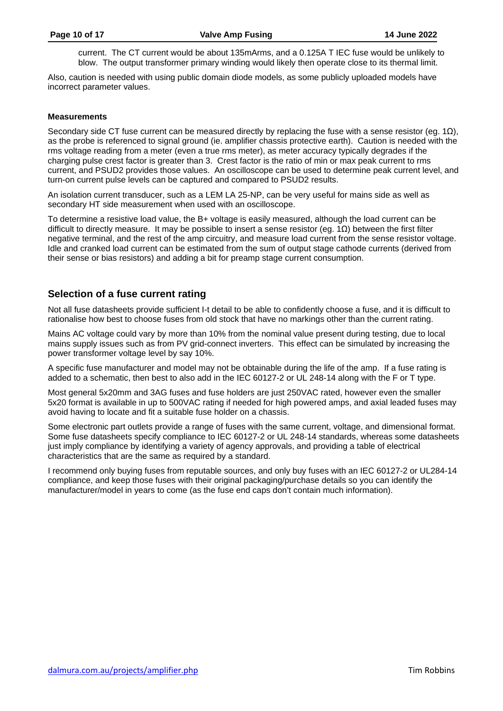current. The CT current would be about 135mArms, and a 0.125A T IEC fuse would be unlikely to blow. The output transformer primary winding would likely then operate close to its thermal limit.

Also, caution is needed with using public domain diode models, as some publicly uploaded models have incorrect parameter values.

#### <span id="page-9-0"></span>**Measurements**

Secondary side CT fuse current can be measured directly by replacing the fuse with a sense resistor (eg. 1Ω), as the probe is referenced to signal ground (ie. amplifier chassis protective earth). Caution is needed with the rms voltage reading from a meter (even a true rms meter), as meter accuracy typically degrades if the charging pulse crest factor is greater than 3. Crest factor is the ratio of min or max peak current to rms current, and PSUD2 provides those values. An oscilloscope can be used to determine peak current level, and turn-on current pulse levels can be captured and compared to PSUD2 results.

An isolation current transducer, such as a LEM LA 25-NP, can be very useful for mains side as well as secondary HT side measurement when used with an oscilloscope.

To determine a resistive load value, the B+ voltage is easily measured, although the load current can be difficult to directly measure. It may be possible to insert a sense resistor (eg. 1Ω) between the first filter negative terminal, and the rest of the amp circuitry, and measure load current from the sense resistor voltage. Idle and cranked load current can be estimated from the sum of output stage cathode currents (derived from their sense or bias resistors) and adding a bit for preamp stage current consumption.

### <span id="page-9-1"></span>**Selection of a fuse current rating**

Not all fuse datasheets provide sufficient I-t detail to be able to confidently choose a fuse, and it is difficult to rationalise how best to choose fuses from old stock that have no markings other than the current rating.

Mains AC voltage could vary by more than 10% from the nominal value present during testing, due to local mains supply issues such as from PV grid-connect inverters. This effect can be simulated by increasing the power transformer voltage level by say 10%.

A specific fuse manufacturer and model may not be obtainable during the life of the amp. If a fuse rating is added to a schematic, then best to also add in the IEC 60127-2 or UL 248-14 along with the F or T type.

Most general 5x20mm and 3AG fuses and fuse holders are just 250VAC rated, however even the smaller 5x20 format is available in up to 500VAC rating if needed for high powered amps, and axial leaded fuses may avoid having to locate and fit a suitable fuse holder on a chassis.

Some electronic part outlets provide a range of fuses with the same current, voltage, and dimensional format. Some fuse datasheets specify compliance to IEC 60127-2 or UL 248-14 standards, whereas some datasheets just imply compliance by identifying a variety of agency approvals, and providing a table of electrical characteristics that are the same as required by a standard.

I recommend only buying fuses from reputable sources, and only buy fuses with an IEC 60127-2 or UL284-14 compliance, and keep those fuses with their original packaging/purchase details so you can identify the manufacturer/model in years to come (as the fuse end caps don't contain much information).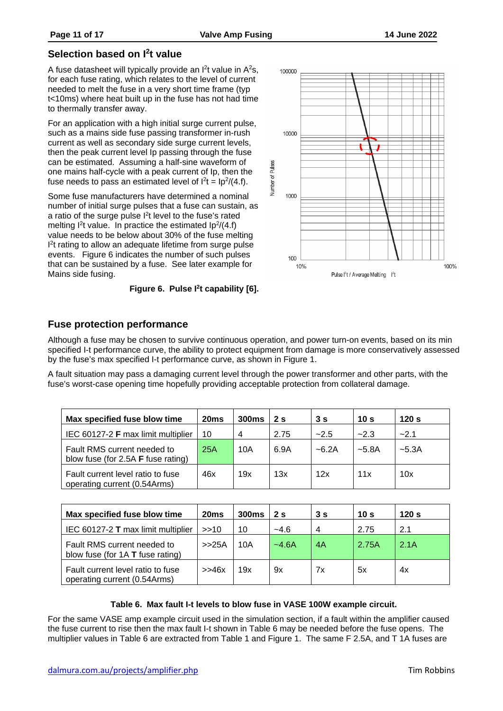# <span id="page-10-0"></span>**Selection based on I2t value**

A fuse datasheet will typically provide an  $I<sup>2</sup>$ t value in  $A<sup>2</sup>$ s, for each fuse rating, which relates to the level of current needed to melt the fuse in a very short time frame (typ t<10ms) where heat built up in the fuse has not had time to thermally transfer away.

For an application with a high initial surge current pulse, such as a mains side fuse passing transformer in-rush current as well as secondary side surge current levels, then the peak current level Ip passing through the fuse can be estimated. Assuming a half-sine waveform of one mains half-cycle with a peak current of Ip, then the fuse needs to pass an estimated level of  $l^2t = lp^2/(4.f)$ .

Some fuse manufacturers have determined a nominal number of initial surge pulses that a fuse can sustain, as a ratio of the surge pulse  $I<sup>2</sup>t$  level to the fuse's rated melting  $l^2t$  value. In practice the estimated  $lp^2/(4.f)$ value needs to be below about 30% of the fuse melting I<sup>2</sup>t rating to allow an adequate lifetime from surge pulse events. [Figure 6](#page-10-2) indicates the number of such pulses that can be sustained by a fuse. See later example for Mains side fusing.

100000 10000 Number of Pulses 1000 100 10% 100% Pulse I<sup>2</sup>t / Average Melting I<sup>2</sup>t

**Figure 6. Pulse I2t capability [\[6\].](#page-16-2)**

# <span id="page-10-2"></span><span id="page-10-1"></span>**Fuse protection performance**

Although a fuse may be chosen to survive continuous operation, and power turn-on events, based on its min specified I-t performance curve, the ability to protect equipment from damage is more conservatively assessed by the fuse's max specified I-t performance curve, as shown in [Figure 1.](#page-2-0)

A fault situation may pass a damaging current level through the power transformer and other parts, with the fuse's worst-case opening time hopefully providing acceptable protection from collateral damage.

| Max specified fuse blow time                                             | 20 <sub>ms</sub> | 300 <sub>ms</sub> | 2 <sub>s</sub> | 3s      | 10 <sub>s</sub> | 120 s   |
|--------------------------------------------------------------------------|------------------|-------------------|----------------|---------|-----------------|---------|
| IEC 60127-2 F max limit multiplier                                       | 10               | 4                 | 2.75           | $-2.5$  | $-2.3$          | $-2.1$  |
| Fault RMS current needed to<br>blow fuse (for 2.5A <b>F</b> fuse rating) | 25A              | 10A               | 6.9A           | $-6.2A$ | $-5.8A$         | $-5.3A$ |
| Fault current level ratio to fuse<br>operating current (0.54Arms)        | 46x              | 19x               | 13x            | 12x     | 11x             | 10x     |

| Max specified fuse blow time                                      | 20ms  | 300 <sub>ms</sub> | 2 <sub>s</sub> | 3s | 10 <sub>s</sub> | 120 <sub>s</sub> |
|-------------------------------------------------------------------|-------|-------------------|----------------|----|-----------------|------------------|
| IEC 60127-2 T max limit multiplier                                | >10   | 10                | $-4.6$         | 4  | 2.75            | 2.1              |
| Fault RMS current needed to<br>blow fuse (for 1A T fuse rating)   | >>25A | 10A               | $-4.6A$        | 4A | 2.75A           | 2.1A             |
| Fault current level ratio to fuse<br>operating current (0.54Arms) | >>46x | 19x               | 9x             | 7x | 5x              | 4x               |

### **Table 6. Max fault I-t levels to blow fuse in VASE 100W example circuit.**

<span id="page-10-3"></span>For the same VASE amp example circuit used in the simulation section, if a fault within the amplifier caused the fuse current to rise then the max fault I-t shown in [Table 6](#page-10-3) may be needed before the fuse opens. The multiplier values in [Table 6](#page-10-3) are extracted from [Table 1](#page-1-1) and [Figure 1.](#page-2-0) The same F 2.5A, and T 1A fuses are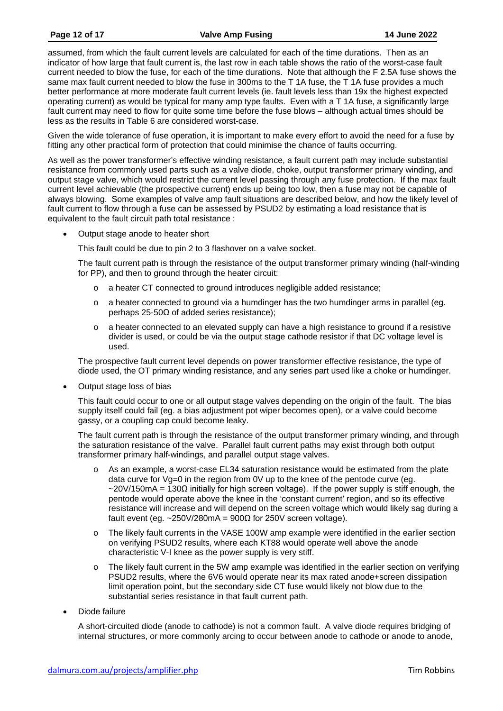assumed, from which the fault current levels are calculated for each of the time durations. Then as an indicator of how large that fault current is, the last row in each table shows the ratio of the worst-case fault current needed to blow the fuse, for each of the time durations. Note that although the F 2.5A fuse shows the same max fault current needed to blow the fuse in 300ms to the T 1A fuse, the T 1A fuse provides a much better performance at more moderate fault current levels (ie. fault levels less than 19x the highest expected operating current) as would be typical for many amp type faults. Even with a T 1A fuse, a significantly large fault current may need to flow for quite some time before the fuse blows – although actual times should be less as the results in [Table 6](#page-10-3) are considered worst-case.

Given the wide tolerance of fuse operation, it is important to make every effort to avoid the need for a fuse by fitting any other practical form of protection that could minimise the chance of faults occurring.

As well as the power transformer's effective winding resistance, a fault current path may include substantial resistance from commonly used parts such as a valve diode, choke, output transformer primary winding, and output stage valve, which would restrict the current level passing through any fuse protection. If the max fault current level achievable (the prospective current) ends up being too low, then a fuse may not be capable of always blowing. Some examples of valve amp fault situations are described below, and how the likely level of fault current to flow through a fuse can be assessed by PSUD2 by estimating a load resistance that is equivalent to the fault circuit path total resistance :

• Output stage anode to heater short

This fault could be due to pin 2 to 3 flashover on a valve socket.

The fault current path is through the resistance of the output transformer primary winding (half-winding for PP), and then to ground through the heater circuit:

- o a heater CT connected to ground introduces negligible added resistance;
- $\circ$  a heater connected to ground via a humdinger has the two humdinger arms in parallel (eg. perhaps 25-50Ω of added series resistance);
- $\circ$  a heater connected to an elevated supply can have a high resistance to ground if a resistive divider is used, or could be via the output stage cathode resistor if that DC voltage level is used.

The prospective fault current level depends on power transformer effective resistance, the type of diode used, the OT primary winding resistance, and any series part used like a choke or humdinger.

• Output stage loss of bias

This fault could occur to one or all output stage valves depending on the origin of the fault. The bias supply itself could fail (eg. a bias adjustment pot wiper becomes open), or a valve could become gassy, or a coupling cap could become leaky.

The fault current path is through the resistance of the output transformer primary winding, and through the saturation resistance of the valve. Parallel fault current paths may exist through both output transformer primary half-windings, and parallel output stage valves.

- $\circ$  As an example, a worst-case EL34 saturation resistance would be estimated from the plate data curve for  $Va=0$  in the region from  $QV$  up to the knee of the pentode curve (eg.  $\sim$ 20V/150mA = 130 $\Omega$  initially for high screen voltage). If the power supply is stiff enough, the pentode would operate above the knee in the 'constant current' region, and so its effective resistance will increase and will depend on the screen voltage which would likely sag during a fault event (eg. ~250V/280mA =  $900Ω$  for 250V screen voltage).
- o The likely fault currents in the VASE 100W amp example were identified in the earlier section on verifying PSUD2 results, where each KT88 would operate well above the anode characteristic V-I knee as the power supply is very stiff.
- o The likely fault current in the 5W amp example was identified in the earlier section on verifying PSUD2 results, where the 6V6 would operate near its max rated anode+screen dissipation limit operation point, but the secondary side CT fuse would likely not blow due to the substantial series resistance in that fault current path.
- Diode failure

A short-circuited diode (anode to cathode) is not a common fault. A valve diode requires bridging of internal structures, or more commonly arcing to occur between anode to cathode or anode to anode,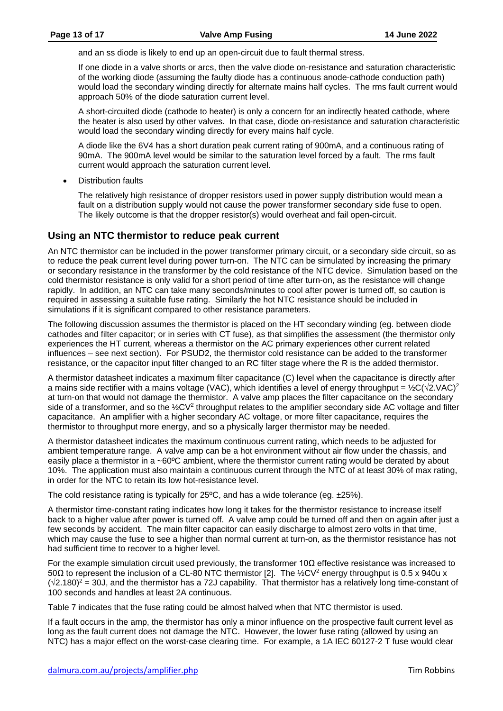and an ss diode is likely to end up an open-circuit due to fault thermal stress.

If one diode in a valve shorts or arcs, then the valve diode on-resistance and saturation characteristic of the working diode (assuming the faulty diode has a continuous anode-cathode conduction path) would load the secondary winding directly for alternate mains half cycles. The rms fault current would approach 50% of the diode saturation current level.

A short-circuited diode (cathode to heater) is only a concern for an indirectly heated cathode, where the heater is also used by other valves. In that case, diode on-resistance and saturation characteristic would load the secondary winding directly for every mains half cycle.

A diode like the 6V4 has a short duration peak current rating of 900mA, and a continuous rating of 90mA. The 900mA level would be similar to the saturation level forced by a fault. The rms fault current would approach the saturation current level.

**Distribution faults** 

The relatively high resistance of dropper resistors used in power supply distribution would mean a fault on a distribution supply would not cause the power transformer secondary side fuse to open. The likely outcome is that the dropper resistor(s) would overheat and fail open-circuit.

# <span id="page-12-0"></span>**Using an NTC thermistor to reduce peak current**

An NTC thermistor can be included in the power transformer primary circuit, or a secondary side circuit, so as to reduce the peak current level during power turn-on. The NTC can be simulated by increasing the primary or secondary resistance in the transformer by the cold resistance of the NTC device. Simulation based on the cold thermistor resistance is only valid for a short period of time after turn-on, as the resistance will change rapidly. In addition, an NTC can take many seconds/minutes to cool after power is turned off, so caution is required in assessing a suitable fuse rating. Similarly the hot NTC resistance should be included in simulations if it is significant compared to other resistance parameters.

The following discussion assumes the thermistor is placed on the HT secondary winding (eg. between diode cathodes and filter capacitor; or in series with CT fuse), as that simplifies the assessment (the thermistor only experiences the HT current, whereas a thermistor on the AC primary experiences other current related influences – see next section). For PSUD2, the thermistor cold resistance can be added to the transformer resistance, or the capacitor input filter changed to an RC filter stage where the R is the added thermistor.

A thermistor datasheet indicates a maximum filter capacitance (C) level when the capacitance is directly after a mains side rectifier with a mains voltage (VAC), which identifies a level of energy throughput =  $\frac{1}{2}C(\sqrt{2}.\text{VAC})^2$ at turn-on that would not damage the thermistor. A valve amp places the filter capacitance on the secondary side of a transformer, and so the  $\frac{1}{2}CV^2$  throughput relates to the amplifier secondary side AC voltage and filter capacitance. An amplifier with a higher secondary AC voltage, or more filter capacitance, requires the thermistor to throughput more energy, and so a physically larger thermistor may be needed.

A thermistor datasheet indicates the maximum continuous current rating, which needs to be adjusted for ambient temperature range. A valve amp can be a hot environment without air flow under the chassis, and easily place a thermistor in a ~60°C ambient, where the thermistor current rating would be derated by about 10%. The application must also maintain a continuous current through the NTC of at least 30% of max rating, in order for the NTC to retain its low hot-resistance level.

The cold resistance rating is typically for 25<sup>o</sup>C, and has a wide tolerance (eg.  $\pm$ 25%).

A thermistor time-constant rating indicates how long it takes for the thermistor resistance to increase itself back to a higher value after power is turned off. A valve amp could be turned off and then on again after just a few seconds by accident. The main filter capacitor can easily discharge to almost zero volts in that time, which may cause the fuse to see a higher than normal current at turn-on, as the thermistor resistance has not had sufficient time to recover to a higher level.

For the example simulation circuit used previously, the transformer 10 $\Omega$  effective resistance was increased to 50Ω to represent the inclusion of a CL-80 NTC thermistor [\[2\].](#page-16-4) The ½CV2 energy throughput is 0.5 x 940u x (√2.180)2 = 30J, and the thermistor has a 72J capability. That thermistor has a relatively long time-constant of 100 seconds and handles at least 2A continuous.

[Table 7](#page-13-3) indicates that the fuse rating could be almost halved when that NTC thermistor is used.

If a fault occurs in the amp, the thermistor has only a minor influence on the prospective fault current level as long as the fault current does not damage the NTC. However, the lower fuse rating (allowed by using an NTC) has a major effect on the worst-case clearing time. For example, a 1A IEC 60127-2 T fuse would clear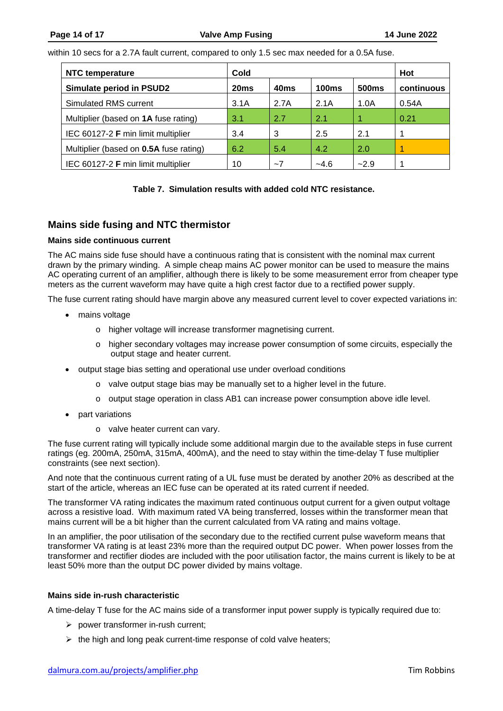within 10 secs for a 2.7A fault current, compared to only 1.5 sec max needed for a 0.5A fuse.

| <b>NTC temperature</b>                 | Cold             | Hot              |              |                   |            |
|----------------------------------------|------------------|------------------|--------------|-------------------|------------|
| Simulate period in PSUD2               | 20 <sub>ms</sub> | 40 <sub>ms</sub> | <b>100ms</b> | 500 <sub>ms</sub> | continuous |
| Simulated RMS current                  | 3.1A             | 2.7A             | 2.1A         | 1.0A              | 0.54A      |
| Multiplier (based on 1A fuse rating)   | 3.1              | 2.7              | 2.1          |                   | 0.21       |
| IEC 60127-2 F min limit multiplier     | 3.4              | 3                | 2.5          | 2.1               |            |
| Multiplier (based on 0.5A fuse rating) | 6.2              | 5.4              | 4.2          | 2.0               |            |
| IEC 60127-2 F min limit multiplier     | 10               | $-7$             | $-4.6$       | $-2.9$            |            |

### **Table 7. Simulation results with added cold NTC resistance.**

# <span id="page-13-3"></span><span id="page-13-0"></span>**Mains side fusing and NTC thermistor**

#### <span id="page-13-1"></span>**Mains side continuous current**

The AC mains side fuse should have a continuous rating that is consistent with the nominal max current drawn by the primary winding. A simple cheap mains AC power monitor can be used to measure the mains AC operating current of an amplifier, although there is likely to be some measurement error from cheaper type meters as the current waveform may have quite a high crest factor due to a rectified power supply.

The fuse current rating should have margin above any measured current level to cover expected variations in:

- mains voltage
	- o higher voltage will increase transformer magnetising current.
	- o higher secondary voltages may increase power consumption of some circuits, especially the output stage and heater current.
- output stage bias setting and operational use under overload conditions
	- $\circ$  valve output stage bias may be manually set to a higher level in the future.
	- o output stage operation in class AB1 can increase power consumption above idle level.
- part variations
	- o valve heater current can vary.

The fuse current rating will typically include some additional margin due to the available steps in fuse current ratings (eg. 200mA, 250mA, 315mA, 400mA), and the need to stay within the time-delay T fuse multiplier constraints (see next section).

And note that the continuous current rating of a UL fuse must be derated by another 20% as described at the start of the article, whereas an IEC fuse can be operated at its rated current if needed.

The transformer VA rating indicates the maximum rated continuous output current for a given output voltage across a resistive load. With maximum rated VA being transferred, losses within the transformer mean that mains current will be a bit higher than the current calculated from VA rating and mains voltage.

In an amplifier, the poor utilisation of the secondary due to the rectified current pulse waveform means that transformer VA rating is at least 23% more than the required output DC power. When power losses from the transformer and rectifier diodes are included with the poor utilisation factor, the mains current is likely to be at least 50% more than the output DC power divided by mains voltage.

#### <span id="page-13-2"></span>**Mains side in-rush characteristic**

A time-delay T fuse for the AC mains side of a transformer input power supply is typically required due to:

- $\triangleright$  power transformer in-rush current;
- $\triangleright$  the high and long peak current-time response of cold valve heaters;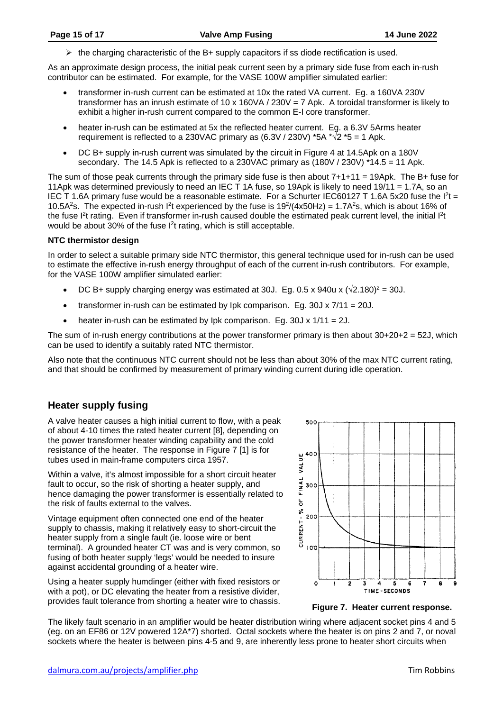$\triangleright$  the charging characteristic of the B+ supply capacitors if ss diode rectification is used.

As an approximate design process, the initial peak current seen by a primary side fuse from each in-rush contributor can be estimated. For example, for the VASE 100W amplifier simulated earlier:

- transformer in-rush current can be estimated at 10x the rated VA current. Eg. a 160VA 230V transformer has an inrush estimate of 10 x 160VA / 230V = 7 Apk. A toroidal transformer is likely to exhibit a higher in-rush current compared to the common E-I core transformer.
- heater in-rush can be estimated at 5x the reflected heater current. Eq. a 6.3V 5Arms heater requirement is reflected to a 230VAC primary as  $(6.3V / 230V)$  \*5A \* $\sqrt{2}$  \*5 = 1 Apk.
- DC B+ supply in-rush current was simulated by the circuit in Figure 4 at 14.5Apk on a 180V secondary. The 14.5 Apk is reflected to a 230VAC primary as (180V / 230V) \*14.5 = 11 Apk.

The sum of those peak currents through the primary side fuse is then about 7+1+11 = 19Apk. The B+ fuse for 11Apk was determined previously to need an IEC T 1A fuse, so 19Apk is likely to need 19/11 = 1.7A, so an IEC T 1.6A primary fuse would be a reasonable estimate. For a Schurter IEC60127 T 1.6A 5x20 fuse the  $I^{2}t =$ 10.5A<sup>2</sup>s. The expected in-rush  $I<sup>2</sup>$ t experienced by the fuse is 19<sup>2</sup>/(4x50Hz) = 1.7A<sup>2</sup>s, which is about 16% of the fuse I<sup>2</sup>t rating. Even if transformer in-rush caused double the estimated peak current level, the initial I<sup>2</sup>t would be about 30% of the fuse I<sup>2</sup>t rating, which is still acceptable.

### <span id="page-14-0"></span>**NTC thermistor design**

In order to select a suitable primary side NTC thermistor, this general technique used for in-rush can be used to estimate the effective in-rush energy throughput of each of the current in-rush contributors. For example, for the VASE 100W amplifier simulated earlier:

- DC B+ supply charging energy was estimated at 30J. Eg. 0.5 x 940u x  $(\sqrt{2.180})^2$  = 30J.
- transformer in-rush can be estimated by lpk comparison. Eg.  $30J \times 7/11 = 20J$ .
- heater in-rush can be estimated by lpk comparison. Eq. 30J  $\times$  1/11 = 2J.

The sum of in-rush energy contributions at the power transformer primary is then about  $30+20+2 = 52J$ , which can be used to identify a suitably rated NTC thermistor.

Also note that the continuous NTC current should not be less than about 30% of the max NTC current rating, and that should be confirmed by measurement of primary winding current during idle operation.

# <span id="page-14-1"></span>**Heater supply fusing**

A valve heater causes a high initial current to flow, with a peak of about 4-10 times the rated heater current [8], depending on the power transformer heater winding capability and the cold resistance of the heater. The response in Figure 7 [1] is for tubes used in main-frame computers circa 1957.

Within a valve, it's almost impossible for a short circuit heater fault to occur, so the risk of shorting a heater supply, and hence damaging the power transformer is essentially related to the risk of faults external to the valves.

Vintage equipment often connected one end of the heater supply to chassis, making it relatively easy to short-circuit the heater supply from a single fault (ie. loose wire or bent terminal). A grounded heater CT was and is very common, so fusing of both heater supply 'legs' would be needed to insure against accidental grounding of a heater wire.

Using a heater supply humdinger (either with fixed resistors or with a pot), or DC elevating the heater from a resistive divider, provides fault tolerance from shorting a heater wire to chassis. **Figure 7. Heater current response.**



The likely fault scenario in an amplifier would be heater distribution wiring where adjacent socket pins 4 and 5 (eg. on an EF86 or 12V powered 12A\*7) shorted. Octal sockets where the heater is on pins 2 and 7, or noval sockets where the heater is between pins 4-5 and 9, are inherently less prone to heater short circuits when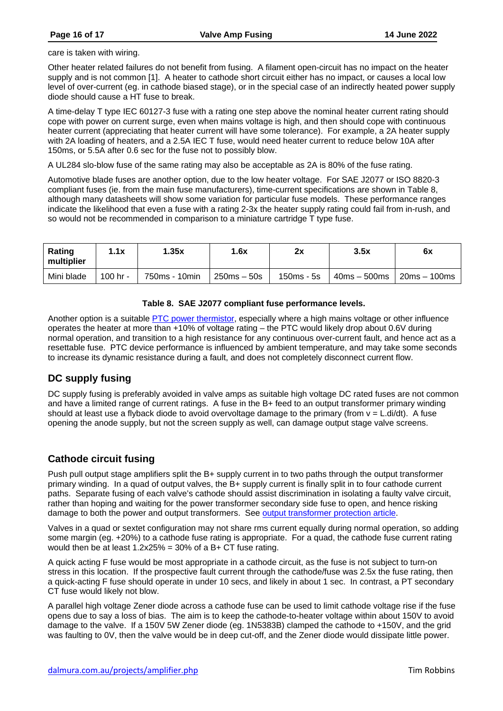care is taken with wiring.

Other heater related failures do not benefit from fusing. A filament open-circuit has no impact on the heater supply and is not common [1]. A heater to cathode short circuit either has no impact, or causes a local low level of over-current (eg. in cathode biased stage), or in the special case of an indirectly heated power supply diode should cause a HT fuse to break.

A time-delay T type IEC 60127-3 fuse with a rating one step above the nominal heater current rating should cope with power on current surge, even when mains voltage is high, and then should cope with continuous heater current (appreciating that heater current will have some tolerance). For example, a 2A heater supply with 2A loading of heaters, and a 2.5A IEC T fuse, would need heater current to reduce below 10A after 150ms, or 5.5A after 0.6 sec for the fuse not to possibly blow.

A UL284 slo-blow fuse of the same rating may also be acceptable as 2A is 80% of the fuse rating.

Automotive blade fuses are another option, due to the low heater voltage. For SAE J2077 or ISO 8820-3 compliant fuses (ie. from the main fuse manufacturers), time-current specifications are shown in Table 8, although many datasheets will show some variation for particular fuse models. These performance ranges indicate the likelihood that even a fuse with a rating 2-3x the heater supply rating could fail from in-rush, and so would not be recommended in comparison to a miniature cartridge T type fuse.

| <b>Rating</b><br>multiplier | l.1x     | 1.35x         | 1.6x             | 2x         | 3.5x           | 6x             |
|-----------------------------|----------|---------------|------------------|------------|----------------|----------------|
| Mini blade                  | 100 hr - | 750ms - 10min | $250$ ms $-50$ s | 150ms - 5s | $40ms - 500ms$ | $20ms - 100ms$ |

#### **Table 8. SAE J2077 compliant fuse performance levels.**

Another option is a suitable PTC power thermistor, especially where a high mains voltage or other influence operates the heater at more than +10% of voltage rating – the PTC would likely drop about 0.6V during normal operation, and transition to a high resistance for any continuous over-current fault, and hence act as a resettable fuse. PTC device performance is influenced by ambient temperature, and may take some seconds to increase its dynamic resistance during a fault, and does not completely disconnect current flow.

### <span id="page-15-0"></span>**DC supply fusing**

DC supply fusing is preferably avoided in valve amps as suitable high voltage DC rated fuses are not common and have a limited range of current ratings. A fuse in the B+ feed to an output transformer primary winding should at least use a flyback diode to avoid overvoltage damage to the primary (from  $v = L \cdot \text{di/dt}$ ). A fuse opening the anode supply, but not the screen supply as well, can damage output stage valve screens.

# <span id="page-15-1"></span>**Cathode circuit fusing**

Push pull output stage amplifiers split the B+ supply current in to two paths through the output transformer primary winding. In a quad of output valves, the B+ supply current is finally split in to four cathode current paths. Separate fusing of each valve's cathode should assist discrimination in isolating a faulty valve circuit, rather than hoping and waiting for the power transformer secondary side fuse to open, and hence risking damage to both the power and output transformers. See output transformer protection article.

Valves in a quad or sextet configuration may not share rms current equally during normal operation, so adding some margin (eg. +20%) to a cathode fuse rating is appropriate. For a quad, the cathode fuse current rating would then be at least 1.2x25% = 30% of a B+ CT fuse rating.

A quick acting F fuse would be most appropriate in a cathode circuit, as the fuse is not subject to turn-on stress in this location. If the prospective fault current through the cathode/fuse was 2.5x the fuse rating, then a quick-acting F fuse should operate in under 10 secs, and likely in about 1 sec. In contrast, a PT secondary CT fuse would likely not blow.

A parallel high voltage Zener diode across a cathode fuse can be used to limit cathode voltage rise if the fuse opens due to say a loss of bias. The aim is to keep the cathode-to-heater voltage within about 150V to avoid damage to the valve. If a 150V 5W Zener diode (eg. 1N5383B) clamped the cathode to +150V, and the grid was faulting to 0V, then the valve would be in deep cut-off, and the Zener diode would dissipate little power.